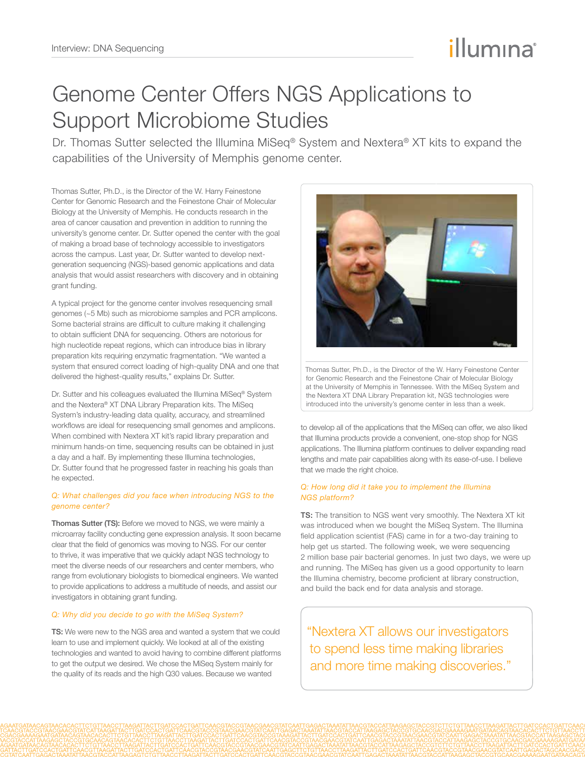# illumına

# Genome Center Offers NGS Applications to Support Microbiome Studies

Dr. Thomas Sutter selected the Illumina MiSeq® System and Nextera® XT kits to expand the capabilities of the University of Memphis genome center.

Thomas Sutter, Ph.D., is the Director of the W. Harry Feinestone Center for Genomic Research and the Feinestone Chair of Molecular Biology at the University of Memphis. He conducts research in the area of cancer causation and prevention in addition to running the university's genome center. Dr. Sutter opened the center with the goal of making a broad base of technology accessible to investigators across the campus. Last year, Dr. Sutter wanted to develop nextgeneration sequencing (NGS)-based genomic applications and data analysis that would assist researchers with discovery and in obtaining grant funding.

A typical project for the genome center involves resequencing small genomes (~5 Mb) such as microbiome samples and PCR amplicons. Some bacterial strains are difficult to culture making it challenging to obtain sufficient DNA for sequencing. Others are notorious for high nucleotide repeat regions, which can introduce bias in library preparation kits requiring enzymatic fragmentation. "We wanted a system that ensured correct loading of high-quality DNA and one that delivered the highest-quality results," explains Dr. Sutter.

Dr. Sutter and his colleagues evaluated the Illumina MiSeq® System and the Nextera® XT DNA Library Preparation kits. The MiSeq System's industry-leading data quality, accuracy, and streamlined workflows are ideal for resequencing small genomes and amplicons. When combined with Nextera XT kit's rapid library preparation and minimum hands-on time, sequencing results can be obtained in just a day and a half. By implementing these Illumina technologies, Dr. Sutter found that he progressed faster in reaching his goals than he expected.

## *Q: What challenges did you face when introducing NGS to the genome center?*

Thomas Sutter (TS): Before we moved to NGS, we were mainly a microarray facility conducting gene expression analysis. It soon became clear that the field of genomics was moving to NGS. For our center to thrive, it was imperative that we quickly adapt NGS technology to meet the diverse needs of our researchers and center members, who range from evolutionary biologists to biomedical engineers. We wanted to provide applications to address a multitude of needs, and assist our investigators in obtaining grant funding.

# *Q: Why did you decide to go with the MiSeq System?*

TS: We were new to the NGS area and wanted a system that we could learn to use and implement quickly. We looked at all of the existing technologies and wanted to avoid having to combine different platforms to get the output we desired. We chose the MiSeq System mainly for the quality of its reads and the high Q30 values. Because we wanted



Thomas Sutter, Ph.D., is the Director of the W. Harry Feinestone Center for Genomic Research and the Feinestone Chair of Molecular Biology at the University of Memphis in Tennessee. With the MiSeq System and the Nextera XT DNA Library Preparation kit, NGS technologies were introduced into the university's genome center in less than a week.

to develop all of the applications that the MiSeq can offer, we also liked that Illumina products provide a convenient, one-stop shop for NGS applications. The Illumina platform continues to deliver expanding read lengths and mate pair capabilities along with its ease-of-use. I believe that we made the right choice.

## *Q: How long did it take you to implement the Illumina NGS platform?*

TS: The transition to NGS went very smoothly. The Nextera XT kit was introduced when we bought the MiSeq System. The Illumina field application scientist (FAS) came in for a two-day training to help get us started. The following week, we were sequencing 2 million base pair bacterial genomes. In just two days, we were up and running. The MiSeq has given us a good opportunity to learn the Illumina chemistry, become proficient at library construction, and build the back end for data analysis and storage.

"Nextera XT allows our investigators to spend less time making libraries and more time making discoveries."